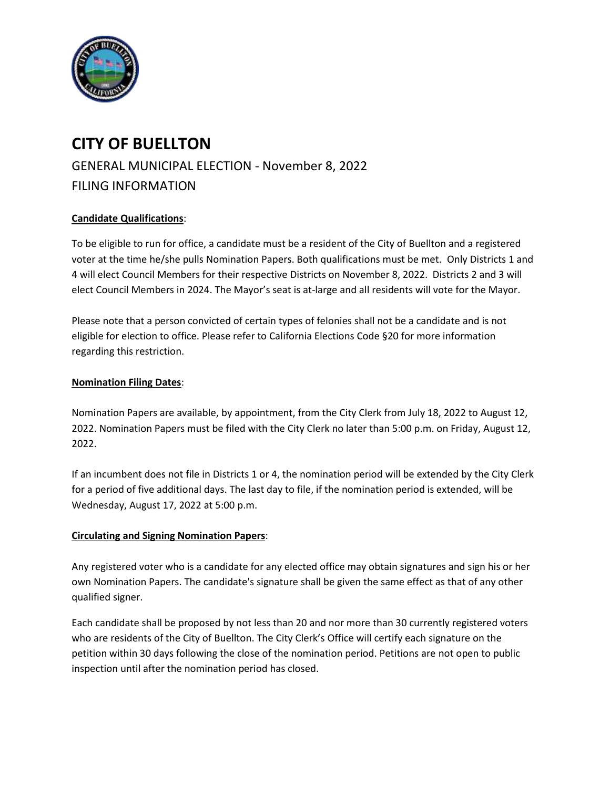

# **CITY OF BUELLTON**

GENERAL MUNICIPAL ELECTION - November 8, 2022 FILING INFORMATION

# **Candidate Qualifications**:

To be eligible to run for office, a candidate must be a resident of the City of Buellton and a registered voter at the time he/she pulls Nomination Papers. Both qualifications must be met. Only Districts 1 and 4 will elect Council Members for their respective Districts on November 8, 2022. Districts 2 and 3 will elect Council Members in 2024. The Mayor's seat is at-large and all residents will vote for the Mayor.

Please note that a person convicted of certain types of felonies shall not be a candidate and is not eligible for election to office. Please refer to California Elections Code §20 for more information regarding this restriction.

#### **Nomination Filing Dates**:

Nomination Papers are available, by appointment, from the City Clerk from July 18, 2022 to August 12, 2022. Nomination Papers must be filed with the City Clerk no later than 5:00 p.m. on Friday, August 12, 2022.

If an incumbent does not file in Districts 1 or 4, the nomination period will be extended by the City Clerk for a period of five additional days. The last day to file, if the nomination period is extended, will be Wednesday, August 17, 2022 at 5:00 p.m.

## **Circulating and Signing Nomination Papers**:

Any registered voter who is a candidate for any elected office may obtain signatures and sign his or her own Nomination Papers. The candidate's signature shall be given the same effect as that of any other qualified signer.

Each candidate shall be proposed by not less than 20 and nor more than 30 currently registered voters who are residents of the City of Buellton. The City Clerk's Office will certify each signature on the petition within 30 days following the close of the nomination period. Petitions are not open to public inspection until after the nomination period has closed.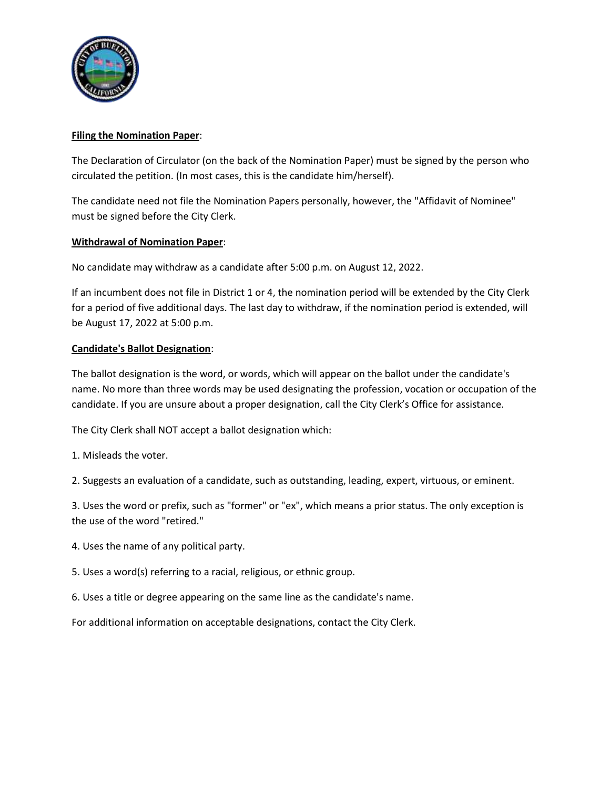

## **Filing the Nomination Paper**:

The Declaration of Circulator (on the back of the Nomination Paper) must be signed by the person who circulated the petition. (In most cases, this is the candidate him/herself).

The candidate need not file the Nomination Papers personally, however, the "Affidavit of Nominee" must be signed before the City Clerk.

#### **Withdrawal of Nomination Paper**:

No candidate may withdraw as a candidate after 5:00 p.m. on August 12, 2022.

If an incumbent does not file in District 1 or 4, the nomination period will be extended by the City Clerk for a period of five additional days. The last day to withdraw, if the nomination period is extended, will be August 17, 2022 at 5:00 p.m.

#### **Candidate's Ballot Designation**:

The ballot designation is the word, or words, which will appear on the ballot under the candidate's name. No more than three words may be used designating the profession, vocation or occupation of the candidate. If you are unsure about a proper designation, call the City Clerk's Office for assistance.

The City Clerk shall NOT accept a ballot designation which:

1. Misleads the voter.

2. Suggests an evaluation of a candidate, such as outstanding, leading, expert, virtuous, or eminent.

3. Uses the word or prefix, such as "former" or "ex", which means a prior status. The only exception is the use of the word "retired."

- 4. Uses the name of any political party.
- 5. Uses a word(s) referring to a racial, religious, or ethnic group.
- 6. Uses a title or degree appearing on the same line as the candidate's name.

For additional information on acceptable designations, contact the City Clerk.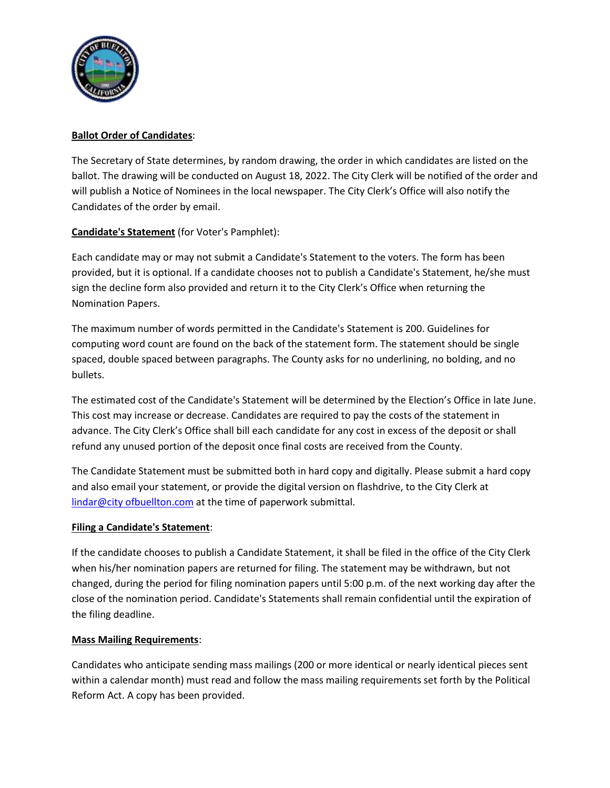

## **Ballot Order of Candidates**:

The Secretary of State determines, by random drawing, the order in which candidates are listed on the ballot. The drawing will be conducted on August 18, 2022. The City Clerk will be notified of the order and will publish a Notice of Nominees in the local newspaper. The City Clerk's Office will also notify the Candidates of the order by email.

# **Candidate's Statement** (for Voter's Pamphlet):

Each candidate may or may not submit a Candidate's Statement to the voters. The form has been provided, but it is optional. If a candidate chooses not to publish a Candidate's Statement, he/she must sign the decline form also provided and return it to the City Clerk's Office when returning the Nomination Papers.

The maximum number of words permitted in the Candidate's Statement is 200. Guidelines for computing word count are found on the back of the statement form. The statement should be single spaced, double spaced between paragraphs. The County asks for no underlining, no bolding, and no bullets.

The estimated cost of the Candidate's Statement will be determined by the Election's Office in late June. This cost may increase or decrease. Candidates are required to pay the costs of the statement in advance. The City Clerk's Office shall bill each candidate for any cost in excess of the deposit or shall refund any unused portion of the deposit once final costs are received from the County.

The Candidate Statement must be submitted both in hard copy and digitally. Please submit a hard copy and also email your statement, or provide the digital version on flashdrive, to the City Clerk at [lindar@city ofbuellton.com](mailto:lindar@Buellton.com) at the time of paperwork submittal.

## **Filing a Candidate's Statement**:

If the candidate chooses to publish a Candidate Statement, it shall be filed in the office of the City Clerk when his/her nomination papers are returned for filing. The statement may be withdrawn, but not changed, during the period for filing nomination papers until 5:00 p.m. of the next working day after the close of the nomination period. Candidate's Statements shall remain confidential until the expiration of the filing deadline.

## **Mass Mailing Requirements**:

Candidates who anticipate sending mass mailings (200 or more identical or nearly identical pieces sent within a calendar month) must read and follow the mass mailing requirements set forth by the Political Reform Act. A copy has been provided.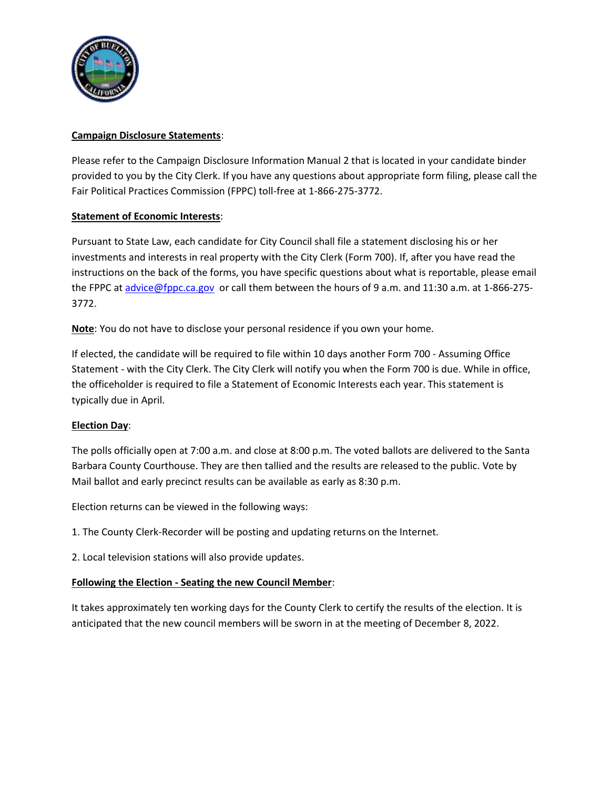

## **Campaign Disclosure Statements**:

Please refer to the Campaign Disclosure Information Manual 2 that is located in your candidate binder provided to you by the City Clerk. If you have any questions about appropriate form filing, please call the Fair Political Practices Commission (FPPC) toll-free at 1-866-275-3772.

## **Statement of Economic Interests**:

Pursuant to State Law, each candidate for City Council shall file a statement disclosing his or her investments and interests in real property with the City Clerk (Form 700). If, after you have read the instructions on the back of the forms, you have specific questions about what is reportable, please email the FPPC a[t advice@fppc.ca.gov](mailto:advice@fppc.ca.gov) or call them between the hours of 9 a.m. and 11:30 a.m. at 1-866-275-3772.

**Note**: You do not have to disclose your personal residence if you own your home.

If elected, the candidate will be required to file within 10 days another Form 700 - Assuming Office Statement - with the City Clerk. The City Clerk will notify you when the Form 700 is due. While in office, the officeholder is required to file a Statement of Economic Interests each year. This statement is typically due in April.

## **Election Day**:

The polls officially open at 7:00 a.m. and close at 8:00 p.m. The voted ballots are delivered to the Santa Barbara County Courthouse. They are then tallied and the results are released to the public. Vote by Mail ballot and early precinct results can be available as early as 8:30 p.m.

Election returns can be viewed in the following ways:

1. The County Clerk-Recorder will be posting and updating returns on the Internet.

2. Local television stations will also provide updates.

#### **Following the Election - Seating the new Council Member**:

It takes approximately ten working days for the County Clerk to certify the results of the election. It is anticipated that the new council members will be sworn in at the meeting of December 8, 2022.